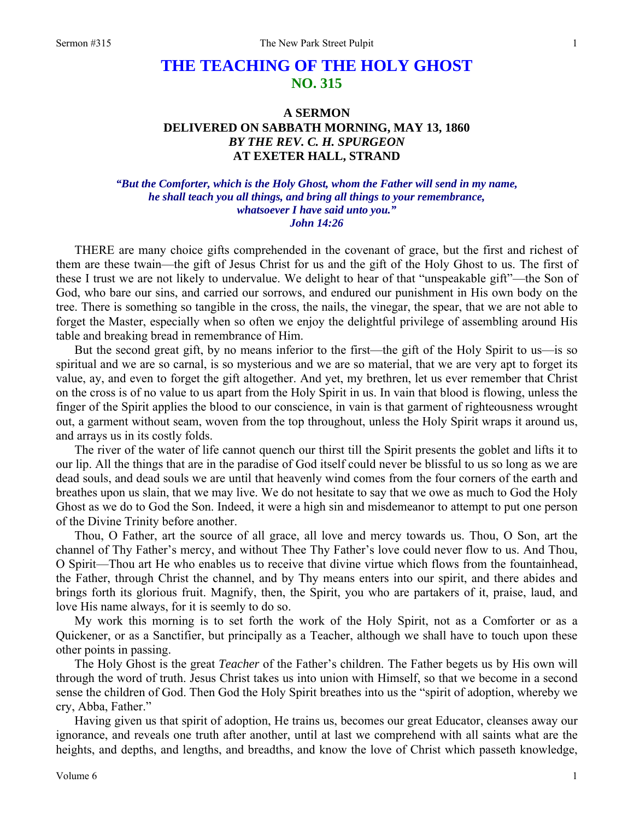## **THE TEACHING OF THE HOLY GHOST NO. 315**

## **A SERMON DELIVERED ON SABBATH MORNING, MAY 13, 1860**  *BY THE REV. C. H. SPURGEON*  **AT EXETER HALL, STRAND**

## *"But the Comforter, which is the Holy Ghost, whom the Father will send in my name, he shall teach you all things, and bring all things to your remembrance, whatsoever I have said unto you." John 14:26*

THERE are many choice gifts comprehended in the covenant of grace, but the first and richest of them are these twain—the gift of Jesus Christ for us and the gift of the Holy Ghost to us. The first of these I trust we are not likely to undervalue. We delight to hear of that "unspeakable gift"—the Son of God, who bare our sins, and carried our sorrows, and endured our punishment in His own body on the tree. There is something so tangible in the cross, the nails, the vinegar, the spear, that we are not able to forget the Master, especially when so often we enjoy the delightful privilege of assembling around His table and breaking bread in remembrance of Him.

But the second great gift, by no means inferior to the first—the gift of the Holy Spirit to us—is so spiritual and we are so carnal, is so mysterious and we are so material, that we are very apt to forget its value, ay, and even to forget the gift altogether. And yet, my brethren, let us ever remember that Christ on the cross is of no value to us apart from the Holy Spirit in us. In vain that blood is flowing, unless the finger of the Spirit applies the blood to our conscience, in vain is that garment of righteousness wrought out, a garment without seam, woven from the top throughout, unless the Holy Spirit wraps it around us, and arrays us in its costly folds.

The river of the water of life cannot quench our thirst till the Spirit presents the goblet and lifts it to our lip. All the things that are in the paradise of God itself could never be blissful to us so long as we are dead souls, and dead souls we are until that heavenly wind comes from the four corners of the earth and breathes upon us slain, that we may live. We do not hesitate to say that we owe as much to God the Holy Ghost as we do to God the Son. Indeed, it were a high sin and misdemeanor to attempt to put one person of the Divine Trinity before another.

Thou, O Father, art the source of all grace, all love and mercy towards us. Thou, O Son, art the channel of Thy Father's mercy, and without Thee Thy Father's love could never flow to us. And Thou, O Spirit—Thou art He who enables us to receive that divine virtue which flows from the fountainhead, the Father, through Christ the channel, and by Thy means enters into our spirit, and there abides and brings forth its glorious fruit. Magnify, then, the Spirit, you who are partakers of it, praise, laud, and love His name always, for it is seemly to do so.

My work this morning is to set forth the work of the Holy Spirit, not as a Comforter or as a Quickener, or as a Sanctifier, but principally as a Teacher, although we shall have to touch upon these other points in passing.

The Holy Ghost is the great *Teacher* of the Father's children. The Father begets us by His own will through the word of truth. Jesus Christ takes us into union with Himself, so that we become in a second sense the children of God. Then God the Holy Spirit breathes into us the "spirit of adoption, whereby we cry, Abba, Father."

Having given us that spirit of adoption, He trains us, becomes our great Educator, cleanses away our ignorance, and reveals one truth after another, until at last we comprehend with all saints what are the heights, and depths, and lengths, and breadths, and know the love of Christ which passeth knowledge,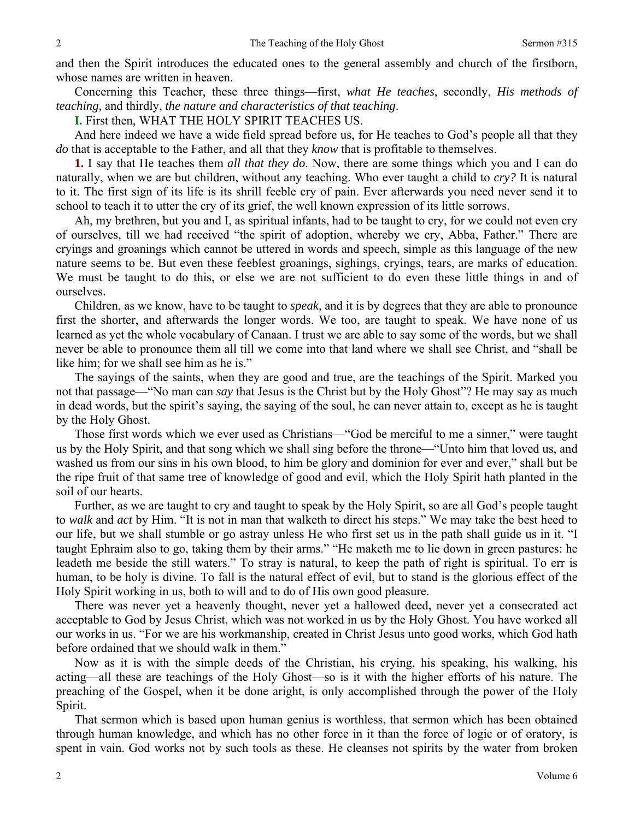and then the Spirit introduces the educated ones to the general assembly and church of the firstborn, whose names are written in heaven.

Concerning this Teacher, these three things—first, *what He teaches,* secondly, *His methods of teaching,* and thirdly, *the nature and characteristics of that teaching*.

**I.** First then, WHAT THE HOLY SPIRIT TEACHES US.

And here indeed we have a wide field spread before us, for He teaches to God's people all that they *do* that is acceptable to the Father, and all that they *know* that is profitable to themselves.

**1.** I say that He teaches them *all that they do*. Now, there are some things which you and I can do naturally, when we are but children, without any teaching. Who ever taught a child to *cry?* It is natural to it. The first sign of its life is its shrill feeble cry of pain. Ever afterwards you need never send it to school to teach it to utter the cry of its grief, the well known expression of its little sorrows.

Ah, my brethren, but you and I, as spiritual infants, had to be taught to cry, for we could not even cry of ourselves, till we had received "the spirit of adoption, whereby we cry, Abba, Father." There are cryings and groanings which cannot be uttered in words and speech, simple as this language of the new nature seems to be. But even these feeblest groanings, sighings, cryings, tears, are marks of education. We must be taught to do this, or else we are not sufficient to do even these little things in and of ourselves.

Children, as we know, have to be taught to *speak,* and it is by degrees that they are able to pronounce first the shorter, and afterwards the longer words. We too, are taught to speak. We have none of us learned as yet the whole vocabulary of Canaan. I trust we are able to say some of the words, but we shall never be able to pronounce them all till we come into that land where we shall see Christ, and "shall be like him; for we shall see him as he is."

The sayings of the saints, when they are good and true, are the teachings of the Spirit. Marked you not that passage—"No man can *say* that Jesus is the Christ but by the Holy Ghost"? He may say as much in dead words, but the spirit's saying, the saying of the soul, he can never attain to, except as he is taught by the Holy Ghost.

Those first words which we ever used as Christians—"God be merciful to me a sinner," were taught us by the Holy Spirit, and that song which we shall sing before the throne—"Unto him that loved us, and washed us from our sins in his own blood, to him be glory and dominion for ever and ever," shall but be the ripe fruit of that same tree of knowledge of good and evil, which the Holy Spirit hath planted in the soil of our hearts.

Further, as we are taught to cry and taught to speak by the Holy Spirit, so are all God's people taught to *walk* and *act* by Him. "It is not in man that walketh to direct his steps." We may take the best heed to our life, but we shall stumble or go astray unless He who first set us in the path shall guide us in it. "I taught Ephraim also to go, taking them by their arms." "He maketh me to lie down in green pastures: he leadeth me beside the still waters." To stray is natural, to keep the path of right is spiritual. To err is human, to be holy is divine. To fall is the natural effect of evil, but to stand is the glorious effect of the Holy Spirit working in us, both to will and to do of His own good pleasure.

There was never yet a heavenly thought, never yet a hallowed deed, never yet a consecrated act acceptable to God by Jesus Christ, which was not worked in us by the Holy Ghost. You have worked all our works in us. "For we are his workmanship, created in Christ Jesus unto good works, which God hath before ordained that we should walk in them."

Now as it is with the simple deeds of the Christian, his crying, his speaking, his walking, his acting—all these are teachings of the Holy Ghost—so is it with the higher efforts of his nature. The preaching of the Gospel, when it be done aright, is only accomplished through the power of the Holy Spirit.

That sermon which is based upon human genius is worthless, that sermon which has been obtained through human knowledge, and which has no other force in it than the force of logic or of oratory, is spent in vain. God works not by such tools as these. He cleanses not spirits by the water from broken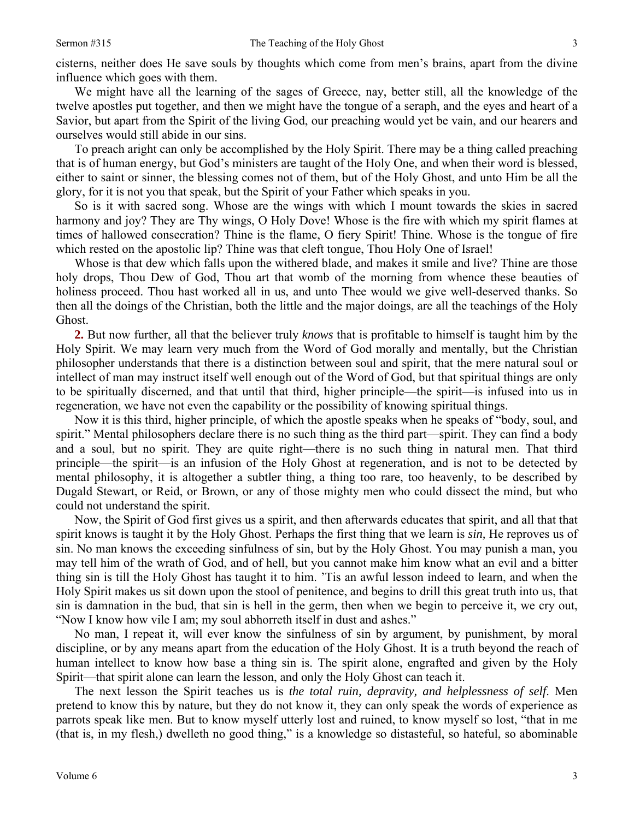cisterns, neither does He save souls by thoughts which come from men's brains, apart from the divine influence which goes with them.

We might have all the learning of the sages of Greece, nay, better still, all the knowledge of the twelve apostles put together, and then we might have the tongue of a seraph, and the eyes and heart of a Savior, but apart from the Spirit of the living God, our preaching would yet be vain, and our hearers and ourselves would still abide in our sins.

To preach aright can only be accomplished by the Holy Spirit. There may be a thing called preaching that is of human energy, but God's ministers are taught of the Holy One, and when their word is blessed, either to saint or sinner, the blessing comes not of them, but of the Holy Ghost, and unto Him be all the glory, for it is not you that speak, but the Spirit of your Father which speaks in you.

So is it with sacred song. Whose are the wings with which I mount towards the skies in sacred harmony and joy? They are Thy wings, O Holy Dove! Whose is the fire with which my spirit flames at times of hallowed consecration? Thine is the flame, O fiery Spirit! Thine. Whose is the tongue of fire which rested on the apostolic lip? Thine was that cleft tongue, Thou Holy One of Israel!

Whose is that dew which falls upon the withered blade, and makes it smile and live? Thine are those holy drops, Thou Dew of God, Thou art that womb of the morning from whence these beauties of holiness proceed. Thou hast worked all in us, and unto Thee would we give well-deserved thanks. So then all the doings of the Christian, both the little and the major doings, are all the teachings of the Holy Ghost.

**2.** But now further, all that the believer truly *knows* that is profitable to himself is taught him by the Holy Spirit. We may learn very much from the Word of God morally and mentally, but the Christian philosopher understands that there is a distinction between soul and spirit, that the mere natural soul or intellect of man may instruct itself well enough out of the Word of God, but that spiritual things are only to be spiritually discerned, and that until that third, higher principle—the spirit—is infused into us in regeneration, we have not even the capability or the possibility of knowing spiritual things.

Now it is this third, higher principle, of which the apostle speaks when he speaks of "body, soul, and spirit." Mental philosophers declare there is no such thing as the third part—spirit. They can find a body and a soul, but no spirit. They are quite right—there is no such thing in natural men. That third principle—the spirit—is an infusion of the Holy Ghost at regeneration, and is not to be detected by mental philosophy, it is altogether a subtler thing, a thing too rare, too heavenly, to be described by Dugald Stewart, or Reid, or Brown, or any of those mighty men who could dissect the mind, but who could not understand the spirit.

Now, the Spirit of God first gives us a spirit, and then afterwards educates that spirit, and all that that spirit knows is taught it by the Holy Ghost. Perhaps the first thing that we learn is *sin,* He reproves us of sin. No man knows the exceeding sinfulness of sin, but by the Holy Ghost. You may punish a man, you may tell him of the wrath of God, and of hell, but you cannot make him know what an evil and a bitter thing sin is till the Holy Ghost has taught it to him. 'Tis an awful lesson indeed to learn, and when the Holy Spirit makes us sit down upon the stool of penitence, and begins to drill this great truth into us, that sin is damnation in the bud, that sin is hell in the germ, then when we begin to perceive it, we cry out, "Now I know how vile I am; my soul abhorreth itself in dust and ashes."

No man, I repeat it, will ever know the sinfulness of sin by argument, by punishment, by moral discipline, or by any means apart from the education of the Holy Ghost. It is a truth beyond the reach of human intellect to know how base a thing sin is. The spirit alone, engrafted and given by the Holy Spirit—that spirit alone can learn the lesson, and only the Holy Ghost can teach it.

The next lesson the Spirit teaches us is *the total ruin, depravity, and helplessness of self*. Men pretend to know this by nature, but they do not know it, they can only speak the words of experience as parrots speak like men. But to know myself utterly lost and ruined, to know myself so lost, "that in me (that is, in my flesh,) dwelleth no good thing," is a knowledge so distasteful, so hateful, so abominable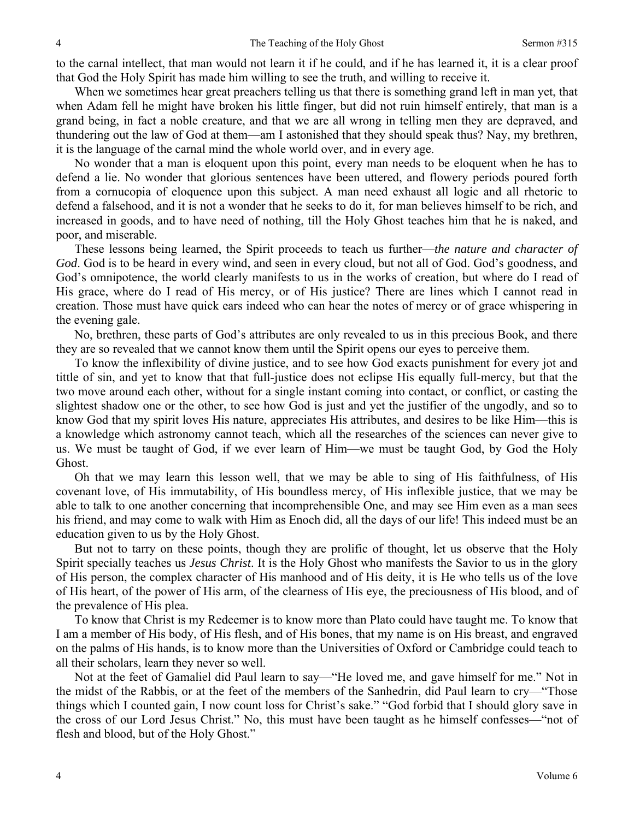to the carnal intellect, that man would not learn it if he could, and if he has learned it, it is a clear proof that God the Holy Spirit has made him willing to see the truth, and willing to receive it.

When we sometimes hear great preachers telling us that there is something grand left in man yet, that when Adam fell he might have broken his little finger, but did not ruin himself entirely, that man is a grand being, in fact a noble creature, and that we are all wrong in telling men they are depraved, and thundering out the law of God at them—am I astonished that they should speak thus? Nay, my brethren, it is the language of the carnal mind the whole world over, and in every age.

No wonder that a man is eloquent upon this point, every man needs to be eloquent when he has to defend a lie. No wonder that glorious sentences have been uttered, and flowery periods poured forth from a cornucopia of eloquence upon this subject. A man need exhaust all logic and all rhetoric to defend a falsehood, and it is not a wonder that he seeks to do it, for man believes himself to be rich, and increased in goods, and to have need of nothing, till the Holy Ghost teaches him that he is naked, and poor, and miserable.

These lessons being learned, the Spirit proceeds to teach us further—*the nature and character of God*. God is to be heard in every wind, and seen in every cloud, but not all of God. God's goodness, and God's omnipotence, the world clearly manifests to us in the works of creation, but where do I read of His grace, where do I read of His mercy, or of His justice? There are lines which I cannot read in creation. Those must have quick ears indeed who can hear the notes of mercy or of grace whispering in the evening gale.

No, brethren, these parts of God's attributes are only revealed to us in this precious Book, and there they are so revealed that we cannot know them until the Spirit opens our eyes to perceive them.

To know the inflexibility of divine justice, and to see how God exacts punishment for every jot and tittle of sin, and yet to know that that full-justice does not eclipse His equally full-mercy, but that the two move around each other, without for a single instant coming into contact, or conflict, or casting the slightest shadow one or the other, to see how God is just and yet the justifier of the ungodly, and so to know God that my spirit loves His nature, appreciates His attributes, and desires to be like Him—this is a knowledge which astronomy cannot teach, which all the researches of the sciences can never give to us. We must be taught of God, if we ever learn of Him—we must be taught God, by God the Holy Ghost.

Oh that we may learn this lesson well, that we may be able to sing of His faithfulness, of His covenant love, of His immutability, of His boundless mercy, of His inflexible justice, that we may be able to talk to one another concerning that incomprehensible One, and may see Him even as a man sees his friend, and may come to walk with Him as Enoch did, all the days of our life! This indeed must be an education given to us by the Holy Ghost.

But not to tarry on these points, though they are prolific of thought, let us observe that the Holy Spirit specially teaches us *Jesus Christ*. It is the Holy Ghost who manifests the Savior to us in the glory of His person, the complex character of His manhood and of His deity, it is He who tells us of the love of His heart, of the power of His arm, of the clearness of His eye, the preciousness of His blood, and of the prevalence of His plea.

To know that Christ is my Redeemer is to know more than Plato could have taught me. To know that I am a member of His body, of His flesh, and of His bones, that my name is on His breast, and engraved on the palms of His hands, is to know more than the Universities of Oxford or Cambridge could teach to all their scholars, learn they never so well.

Not at the feet of Gamaliel did Paul learn to say—"He loved me, and gave himself for me." Not in the midst of the Rabbis, or at the feet of the members of the Sanhedrin, did Paul learn to cry—"Those things which I counted gain, I now count loss for Christ's sake." "God forbid that I should glory save in the cross of our Lord Jesus Christ." No, this must have been taught as he himself confesses—"not of flesh and blood, but of the Holy Ghost."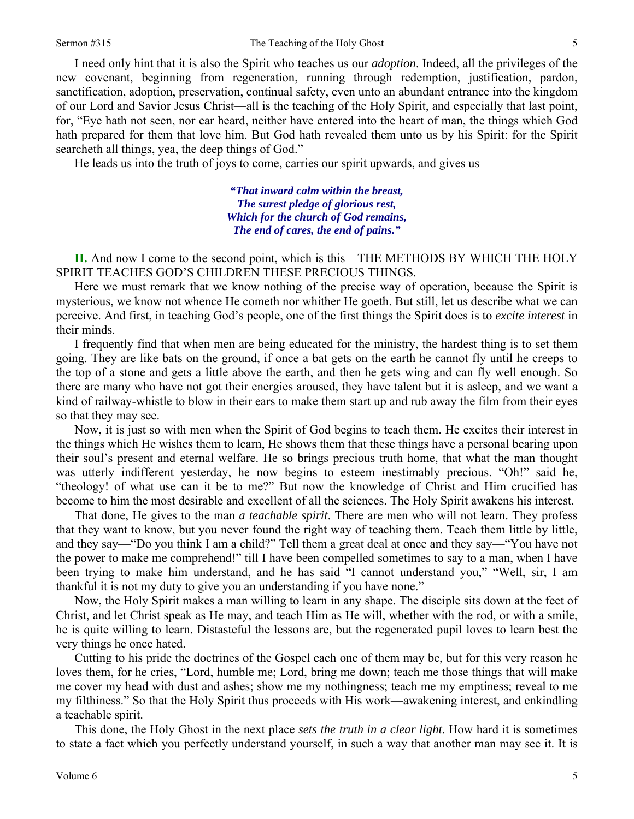5

I need only hint that it is also the Spirit who teaches us our *adoption*. Indeed, all the privileges of the new covenant, beginning from regeneration, running through redemption, justification, pardon, sanctification, adoption, preservation, continual safety, even unto an abundant entrance into the kingdom of our Lord and Savior Jesus Christ—all is the teaching of the Holy Spirit, and especially that last point, for, "Eye hath not seen, nor ear heard, neither have entered into the heart of man, the things which God hath prepared for them that love him. But God hath revealed them unto us by his Spirit: for the Spirit searcheth all things, yea, the deep things of God."

He leads us into the truth of joys to come, carries our spirit upwards, and gives us

*"That inward calm within the breast, The surest pledge of glorious rest, Which for the church of God remains, The end of cares, the end of pains."* 

**II.** And now I come to the second point, which is this—THE METHODS BY WHICH THE HOLY SPIRIT TEACHES GOD'S CHILDREN THESE PRECIOUS THINGS.

Here we must remark that we know nothing of the precise way of operation, because the Spirit is mysterious, we know not whence He cometh nor whither He goeth. But still, let us describe what we can perceive. And first, in teaching God's people, one of the first things the Spirit does is to *excite interest* in their minds.

I frequently find that when men are being educated for the ministry, the hardest thing is to set them going. They are like bats on the ground, if once a bat gets on the earth he cannot fly until he creeps to the top of a stone and gets a little above the earth, and then he gets wing and can fly well enough. So there are many who have not got their energies aroused, they have talent but it is asleep, and we want a kind of railway-whistle to blow in their ears to make them start up and rub away the film from their eyes so that they may see.

Now, it is just so with men when the Spirit of God begins to teach them. He excites their interest in the things which He wishes them to learn, He shows them that these things have a personal bearing upon their soul's present and eternal welfare. He so brings precious truth home, that what the man thought was utterly indifferent yesterday, he now begins to esteem inestimably precious. "Oh!" said he, "theology! of what use can it be to me?" But now the knowledge of Christ and Him crucified has become to him the most desirable and excellent of all the sciences. The Holy Spirit awakens his interest.

That done, He gives to the man *a teachable spirit*. There are men who will not learn. They profess that they want to know, but you never found the right way of teaching them. Teach them little by little, and they say—"Do you think I am a child?" Tell them a great deal at once and they say—"You have not the power to make me comprehend!" till I have been compelled sometimes to say to a man, when I have been trying to make him understand, and he has said "I cannot understand you," "Well, sir, I am thankful it is not my duty to give you an understanding if you have none."

Now, the Holy Spirit makes a man willing to learn in any shape. The disciple sits down at the feet of Christ, and let Christ speak as He may, and teach Him as He will, whether with the rod, or with a smile, he is quite willing to learn. Distasteful the lessons are, but the regenerated pupil loves to learn best the very things he once hated.

Cutting to his pride the doctrines of the Gospel each one of them may be, but for this very reason he loves them, for he cries, "Lord, humble me; Lord, bring me down; teach me those things that will make me cover my head with dust and ashes; show me my nothingness; teach me my emptiness; reveal to me my filthiness." So that the Holy Spirit thus proceeds with His work—awakening interest, and enkindling a teachable spirit.

This done, the Holy Ghost in the next place *sets the truth in a clear light*. How hard it is sometimes to state a fact which you perfectly understand yourself, in such a way that another man may see it. It is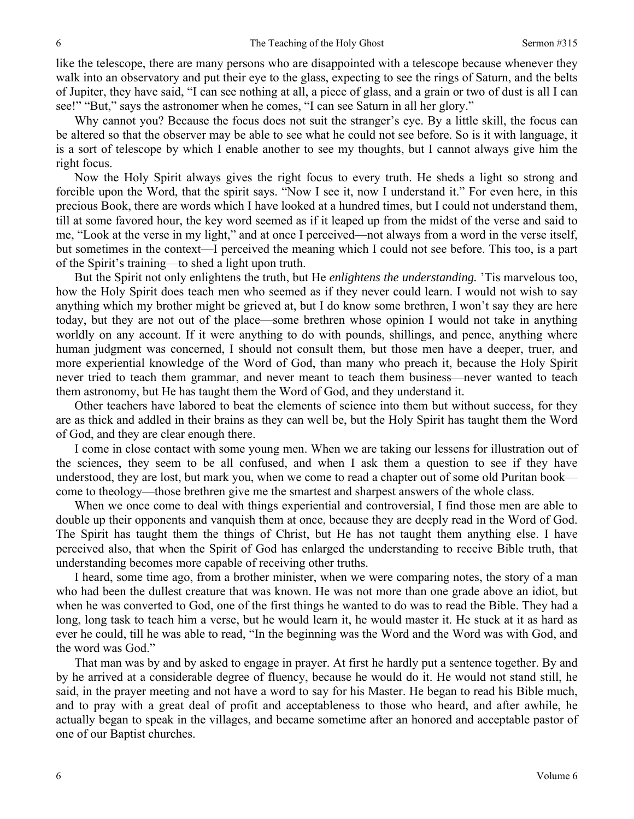like the telescope, there are many persons who are disappointed with a telescope because whenever they walk into an observatory and put their eye to the glass, expecting to see the rings of Saturn, and the belts of Jupiter, they have said, "I can see nothing at all, a piece of glass, and a grain or two of dust is all I can see!" "But," says the astronomer when he comes, "I can see Saturn in all her glory."

Why cannot you? Because the focus does not suit the stranger's eye. By a little skill, the focus can be altered so that the observer may be able to see what he could not see before. So is it with language, it is a sort of telescope by which I enable another to see my thoughts, but I cannot always give him the right focus.

Now the Holy Spirit always gives the right focus to every truth. He sheds a light so strong and forcible upon the Word, that the spirit says. "Now I see it, now I understand it." For even here, in this precious Book, there are words which I have looked at a hundred times, but I could not understand them, till at some favored hour, the key word seemed as if it leaped up from the midst of the verse and said to me, "Look at the verse in my light," and at once I perceived—not always from a word in the verse itself, but sometimes in the context—I perceived the meaning which I could not see before. This too, is a part of the Spirit's training—to shed a light upon truth.

But the Spirit not only enlightens the truth, but He *enlightens the understanding.* 'Tis marvelous too, how the Holy Spirit does teach men who seemed as if they never could learn. I would not wish to say anything which my brother might be grieved at, but I do know some brethren, I won't say they are here today, but they are not out of the place—some brethren whose opinion I would not take in anything worldly on any account. If it were anything to do with pounds, shillings, and pence, anything where human judgment was concerned, I should not consult them, but those men have a deeper, truer, and more experiential knowledge of the Word of God, than many who preach it, because the Holy Spirit never tried to teach them grammar, and never meant to teach them business—never wanted to teach them astronomy, but He has taught them the Word of God, and they understand it.

Other teachers have labored to beat the elements of science into them but without success, for they are as thick and addled in their brains as they can well be, but the Holy Spirit has taught them the Word of God, and they are clear enough there.

I come in close contact with some young men. When we are taking our lessens for illustration out of the sciences, they seem to be all confused, and when I ask them a question to see if they have understood, they are lost, but mark you, when we come to read a chapter out of some old Puritan book come to theology—those brethren give me the smartest and sharpest answers of the whole class.

When we once come to deal with things experiential and controversial, I find those men are able to double up their opponents and vanquish them at once, because they are deeply read in the Word of God. The Spirit has taught them the things of Christ, but He has not taught them anything else. I have perceived also, that when the Spirit of God has enlarged the understanding to receive Bible truth, that understanding becomes more capable of receiving other truths.

I heard, some time ago, from a brother minister, when we were comparing notes, the story of a man who had been the dullest creature that was known. He was not more than one grade above an idiot, but when he was converted to God, one of the first things he wanted to do was to read the Bible. They had a long, long task to teach him a verse, but he would learn it, he would master it. He stuck at it as hard as ever he could, till he was able to read, "In the beginning was the Word and the Word was with God, and the word was God."

That man was by and by asked to engage in prayer. At first he hardly put a sentence together. By and by he arrived at a considerable degree of fluency, because he would do it. He would not stand still, he said, in the prayer meeting and not have a word to say for his Master. He began to read his Bible much, and to pray with a great deal of profit and acceptableness to those who heard, and after awhile, he actually began to speak in the villages, and became sometime after an honored and acceptable pastor of one of our Baptist churches.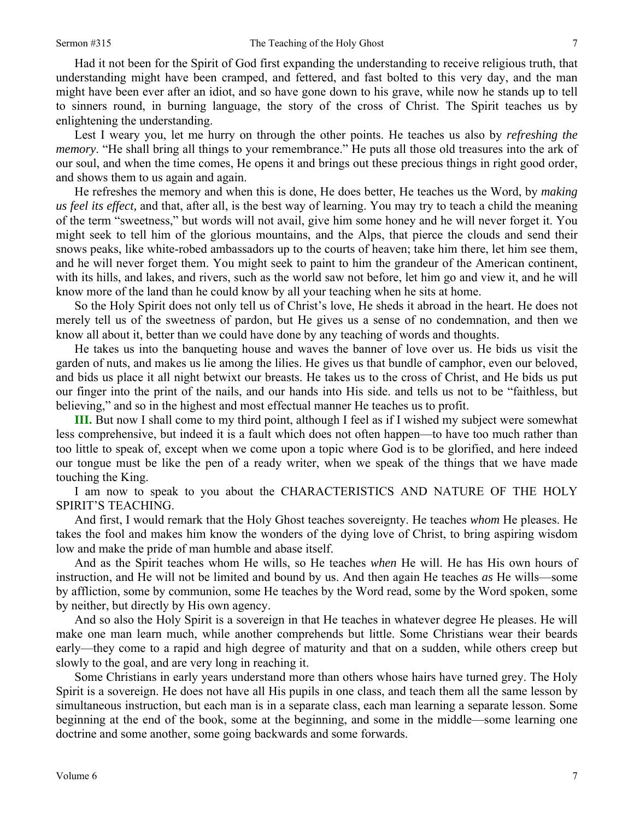Had it not been for the Spirit of God first expanding the understanding to receive religious truth, that understanding might have been cramped, and fettered, and fast bolted to this very day, and the man might have been ever after an idiot, and so have gone down to his grave, while now he stands up to tell to sinners round, in burning language, the story of the cross of Christ. The Spirit teaches us by enlightening the understanding.

Lest I weary you, let me hurry on through the other points. He teaches us also by *refreshing the memory*. "He shall bring all things to your remembrance." He puts all those old treasures into the ark of our soul, and when the time comes, He opens it and brings out these precious things in right good order, and shows them to us again and again.

He refreshes the memory and when this is done, He does better, He teaches us the Word, by *making us feel its effect,* and that, after all, is the best way of learning. You may try to teach a child the meaning of the term "sweetness," but words will not avail, give him some honey and he will never forget it. You might seek to tell him of the glorious mountains, and the Alps, that pierce the clouds and send their snows peaks, like white-robed ambassadors up to the courts of heaven; take him there, let him see them, and he will never forget them. You might seek to paint to him the grandeur of the American continent, with its hills, and lakes, and rivers, such as the world saw not before, let him go and view it, and he will know more of the land than he could know by all your teaching when he sits at home.

So the Holy Spirit does not only tell us of Christ's love, He sheds it abroad in the heart. He does not merely tell us of the sweetness of pardon, but He gives us a sense of no condemnation, and then we know all about it, better than we could have done by any teaching of words and thoughts.

He takes us into the banqueting house and waves the banner of love over us. He bids us visit the garden of nuts, and makes us lie among the lilies. He gives us that bundle of camphor, even our beloved, and bids us place it all night betwixt our breasts. He takes us to the cross of Christ, and He bids us put our finger into the print of the nails, and our hands into His side. and tells us not to be "faithless, but believing," and so in the highest and most effectual manner He teaches us to profit.

**III.** But now I shall come to my third point, although I feel as if I wished my subject were somewhat less comprehensive, but indeed it is a fault which does not often happen—to have too much rather than too little to speak of, except when we come upon a topic where God is to be glorified, and here indeed our tongue must be like the pen of a ready writer, when we speak of the things that we have made touching the King.

I am now to speak to you about the CHARACTERISTICS AND NATURE OF THE HOLY SPIRIT'S TEACHING.

And first, I would remark that the Holy Ghost teaches sovereignty. He teaches *whom* He pleases. He takes the fool and makes him know the wonders of the dying love of Christ, to bring aspiring wisdom low and make the pride of man humble and abase itself.

And as the Spirit teaches whom He wills, so He teaches *when* He will. He has His own hours of instruction, and He will not be limited and bound by us. And then again He teaches *as* He wills—some by affliction, some by communion, some He teaches by the Word read, some by the Word spoken, some by neither, but directly by His own agency.

And so also the Holy Spirit is a sovereign in that He teaches in whatever degree He pleases. He will make one man learn much, while another comprehends but little. Some Christians wear their beards early—they come to a rapid and high degree of maturity and that on a sudden, while others creep but slowly to the goal, and are very long in reaching it.

Some Christians in early years understand more than others whose hairs have turned grey. The Holy Spirit is a sovereign. He does not have all His pupils in one class, and teach them all the same lesson by simultaneous instruction, but each man is in a separate class, each man learning a separate lesson. Some beginning at the end of the book, some at the beginning, and some in the middle—some learning one doctrine and some another, some going backwards and some forwards.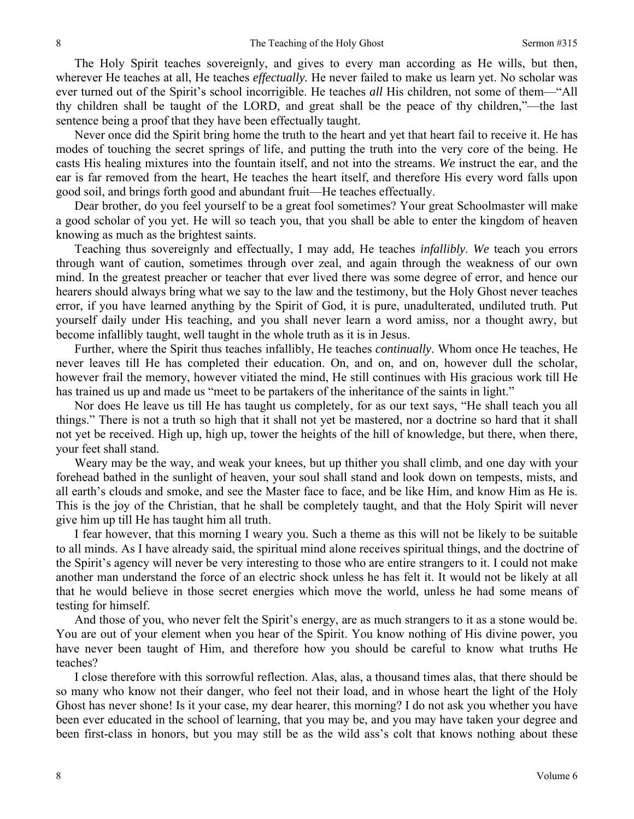The Holy Spirit teaches sovereignly, and gives to every man according as He wills, but then, wherever He teaches at all, He teaches *effectually.* He never failed to make us learn yet. No scholar was ever turned out of the Spirit's school incorrigible. He teaches *all* His children, not some of them—"All thy children shall be taught of the LORD, and great shall be the peace of thy children,"—the last sentence being a proof that they have been effectually taught.

Never once did the Spirit bring home the truth to the heart and yet that heart fail to receive it. He has modes of touching the secret springs of life, and putting the truth into the very core of the being. He casts His healing mixtures into the fountain itself, and not into the streams. *We* instruct the ear, and the ear is far removed from the heart, He teaches the heart itself, and therefore His every word falls upon good soil, and brings forth good and abundant fruit—He teaches effectually.

Dear brother, do you feel yourself to be a great fool sometimes? Your great Schoolmaster will make a good scholar of you yet. He will so teach you, that you shall be able to enter the kingdom of heaven knowing as much as the brightest saints.

Teaching thus sovereignly and effectually, I may add, He teaches *infallibly*. *We* teach you errors through want of caution, sometimes through over zeal, and again through the weakness of our own mind. In the greatest preacher or teacher that ever lived there was some degree of error, and hence our hearers should always bring what we say to the law and the testimony, but the Holy Ghost never teaches error, if you have learned anything by the Spirit of God, it is pure, unadulterated, undiluted truth. Put yourself daily under His teaching, and you shall never learn a word amiss, nor a thought awry, but become infallibly taught, well taught in the whole truth as it is in Jesus.

Further, where the Spirit thus teaches infallibly, He teaches *continually*. Whom once He teaches, He never leaves till He has completed their education. On, and on, and on, however dull the scholar, however frail the memory, however vitiated the mind, He still continues with His gracious work till He has trained us up and made us "meet to be partakers of the inheritance of the saints in light."

Nor does He leave us till He has taught us completely, for as our text says, "He shall teach you all things." There is not a truth so high that it shall not yet be mastered, nor a doctrine so hard that it shall not yet be received. High up, high up, tower the heights of the hill of knowledge, but there, when there, your feet shall stand.

Weary may be the way, and weak your knees, but up thither you shall climb, and one day with your forehead bathed in the sunlight of heaven, your soul shall stand and look down on tempests, mists, and all earth's clouds and smoke, and see the Master face to face, and be like Him, and know Him as He is. This is the joy of the Christian, that he shall be completely taught, and that the Holy Spirit will never give him up till He has taught him all truth.

I fear however, that this morning I weary you. Such a theme as this will not be likely to be suitable to all minds. As I have already said, the spiritual mind alone receives spiritual things, and the doctrine of the Spirit's agency will never be very interesting to those who are entire strangers to it. I could not make another man understand the force of an electric shock unless he has felt it. It would not be likely at all that he would believe in those secret energies which move the world, unless he had some means of testing for himself.

And those of you, who never felt the Spirit's energy, are as much strangers to it as a stone would be. You are out of your element when you hear of the Spirit. You know nothing of His divine power, you have never been taught of Him, and therefore how you should be careful to know what truths He teaches?

I close therefore with this sorrowful reflection. Alas, alas, a thousand times alas, that there should be so many who know not their danger, who feel not their load, and in whose heart the light of the Holy Ghost has never shone! Is it your case, my dear hearer, this morning? I do not ask you whether you have been ever educated in the school of learning, that you may be, and you may have taken your degree and been first-class in honors, but you may still be as the wild ass's colt that knows nothing about these